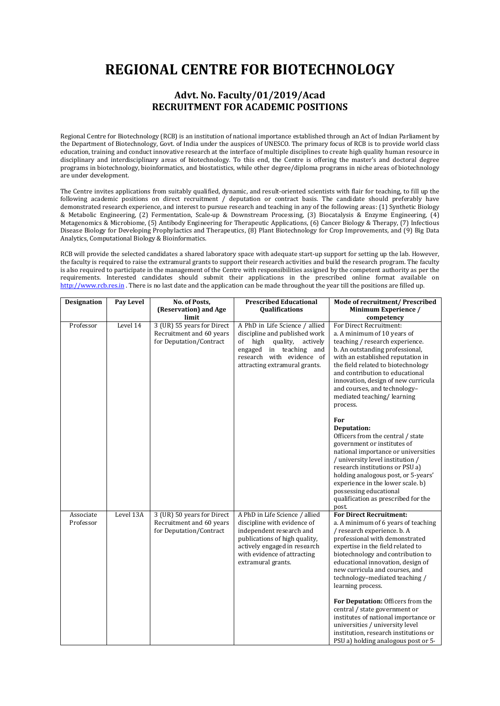## **REGIONAL CENTRE FOR BIOTECHNOLOGY**

## **Advt. No. Faculty/01/2019/Acad RECRUITMENT FOR ACADEMIC POSITIONS**

Regional Centre for Biotechnology (RCB) is an institution of national importance established through an Act of Indian Parliament by the Department of Biotechnology, Govt. of India under the auspices of UNESCO. The primary focus of RCB is to provide world class education, training and conduct innovative research at the interface of multiple disciplines to create high quality human resource in disciplinary and interdisciplinary areas of biotechnology. To this end, the Centre is offering the master's and doctoral degree programs in biotechnology, bioinformatics, and biostatistics, while other degree/diploma programs in niche areas of biotechnology are under development.

The Centre invites applications from suitably qualified, dynamic, and result-oriented scientists with flair for teaching, to fill up the following academic positions on direct recruitment / deputation or contract basis. The candidate should preferably have demonstrated research experience, and interest to pursue research and teaching in any of the following areas: (1) Synthetic Biology & Metabolic Engineering, (2) Fermentation, Scale-up & Downstream Processing, (3) Biocatalysis & Enzyme Engineering, (4) Metagenomics & Microbiome, (5) Antibody Engineering for Therapeutic Applications, (6) Cancer Biology & Therapy, (7) Infectious Disease Biology for Developing Prophylactics and Therapeutics, (8) Plant Biotechnology for Crop Improvements, and (9) Big Data Analytics, Computational Biology & Bioinformatics.

RCB will provide the selected candidates a shared laboratory space with adequate start-up support for setting up the lab. However, the faculty is required to raise the extramural grants to support their research activities and build the research program. The faculty is also required to participate in the management of the Centre with responsibilities assigned by the competent authority as per the requirements. Interested candidates should submit their applications in the prescribed online format available on [http://www.rcb.res.in](http://www.rcb.res.in/) . There is no last date and the application can be made throughout the year till the positions are filled up.

| <b>Designation</b>     | Pay Level | No. of Posts,<br>(Reservation) and Age                                            | <b>Prescribed Educational</b><br><b>Qualifications</b>                                                                                                                                                          | Mode of recruitment/ Prescribed<br>Minimum Experience /                                                                                                                                                                                                                                                                                                                             |
|------------------------|-----------|-----------------------------------------------------------------------------------|-----------------------------------------------------------------------------------------------------------------------------------------------------------------------------------------------------------------|-------------------------------------------------------------------------------------------------------------------------------------------------------------------------------------------------------------------------------------------------------------------------------------------------------------------------------------------------------------------------------------|
|                        |           | limit                                                                             |                                                                                                                                                                                                                 | competency                                                                                                                                                                                                                                                                                                                                                                          |
| Professor              | Level 14  | 3 (UR) 55 years for Direct<br>Recruitment and 60 years<br>for Deputation/Contract | A PhD in Life Science / allied<br>discipline and published work<br>of high<br>quality, actively<br>engaged in teaching and<br>research with evidence of<br>attracting extramural grants.                        | For Direct Recruitment:<br>a. A minimum of 10 years of<br>teaching / research experience.<br>b. An outstanding professional,<br>with an established reputation in<br>the field related to biotechnology<br>and contribution to educational<br>innovation, design of new curricula<br>and courses, and technology-<br>mediated teaching/learning<br>process.                         |
|                        |           |                                                                                   |                                                                                                                                                                                                                 | For<br>Deputation:<br>Officers from the central / state<br>government or institutes of<br>national importance or universities<br>/ university level institution /<br>research institutions or PSU a)<br>holding analogous post, or 5-years'<br>experience in the lower scale. b)<br>possessing educational<br>qualification as prescribed for the<br>post.                          |
| Associate<br>Professor | Level 13A | 3 (UR) 50 years for Direct<br>Recruitment and 60 years<br>for Deputation/Contract | A PhD in Life Science / allied<br>discipline with evidence of<br>independent research and<br>publications of high quality,<br>actively engaged in research<br>with evidence of attracting<br>extramural grants. | <b>For Direct Recruitment:</b><br>a. A minimum of 6 years of teaching<br>/ research experience. b. A<br>professional with demonstrated<br>expertise in the field related to<br>biotechnology and contribution to<br>educational innovation, design of<br>new curricula and courses, and<br>technology-mediated teaching /<br>learning process.<br>For Deputation: Officers from the |
|                        |           |                                                                                   |                                                                                                                                                                                                                 | central / state government or<br>institutes of national importance or<br>universities / university level<br>institution, research institutions or<br>PSU a) holding analogous post or 5-                                                                                                                                                                                            |